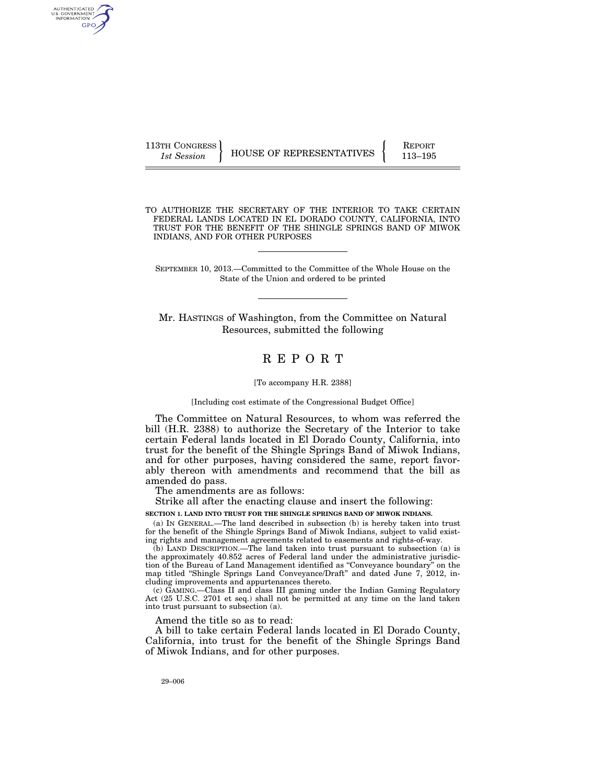AUTHENTICATED U.S. GOVERNMENT GPO

113TH CONGRESS HOUSE OF REPRESENTATIVES **REPORT** 113-195

TO AUTHORIZE THE SECRETARY OF THE INTERIOR TO TAKE CERTAIN FEDERAL LANDS LOCATED IN EL DORADO COUNTY, CALIFORNIA, INTO TRUST FOR THE BENEFIT OF THE SHINGLE SPRINGS BAND OF MIWOK INDIANS, AND FOR OTHER PURPOSES

SEPTEMBER 10, 2013.—Committed to the Committee of the Whole House on the State of the Union and ordered to be printed

Mr. HASTINGS of Washington, from the Committee on Natural Resources, submitted the following

# R E P O R T

#### [To accompany H.R. 2388]

[Including cost estimate of the Congressional Budget Office]

The Committee on Natural Resources, to whom was referred the bill (H.R. 2388) to authorize the Secretary of the Interior to take certain Federal lands located in El Dorado County, California, into trust for the benefit of the Shingle Springs Band of Miwok Indians, and for other purposes, having considered the same, report favorably thereon with amendments and recommend that the bill as amended do pass.

The amendments are as follows:

Strike all after the enacting clause and insert the following:

**SECTION 1. LAND INTO TRUST FOR THE SHINGLE SPRINGS BAND OF MIWOK INDIANS.** 

(a) IN GENERAL.—The land described in subsection (b) is hereby taken into trust for the benefit of the Shingle Springs Band of Miwok Indians, subject to valid existing rights and management agreements related to easements and rights-of-way.

(b) LAND DESCRIPTION.—The land taken into trust pursuant to subsection (a) is the approximately 40.852 acres of Federal land under the administrative jurisdiction of the Bureau of Land Management identified as ''Conveyance boundary'' on the map titled ''Shingle Springs Land Conveyance/Draft'' and dated June 7, 2012, including improvements and appurtenances thereto.

(c) GAMING.—Class II and class III gaming under the Indian Gaming Regulatory Act (25 U.S.C. 2701 et seq.) shall not be permitted at any time on the land taken into trust pursuant to subsection (a).

Amend the title so as to read:

A bill to take certain Federal lands located in El Dorado County, California, into trust for the benefit of the Shingle Springs Band of Miwok Indians, and for other purposes.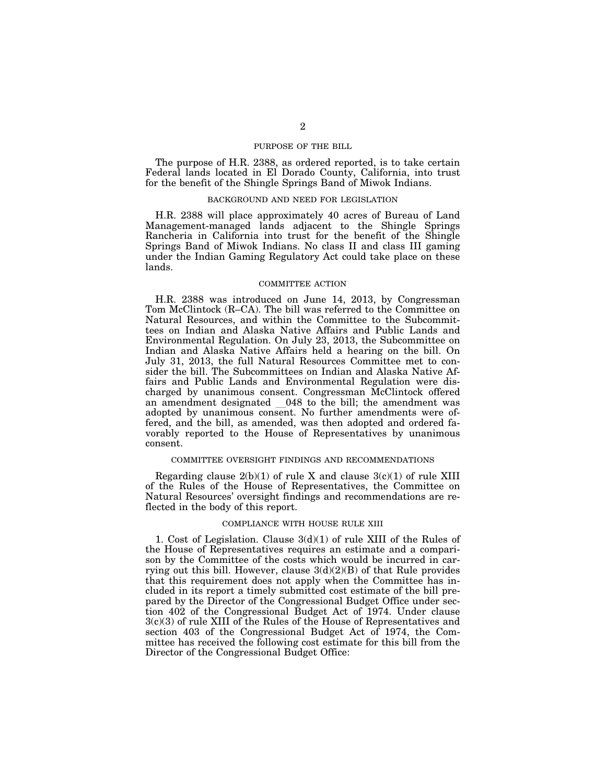# PURPOSE OF THE BILL

The purpose of H.R. 2388, as ordered reported, is to take certain Federal lands located in El Dorado County, California, into trust for the benefit of the Shingle Springs Band of Miwok Indians.

### BACKGROUND AND NEED FOR LEGISLATION

H.R. 2388 will place approximately 40 acres of Bureau of Land Management-managed lands adjacent to the Shingle Springs Rancheria in California into trust for the benefit of the Shingle Springs Band of Miwok Indians. No class II and class III gaming under the Indian Gaming Regulatory Act could take place on these lands.

### COMMITTEE ACTION

H.R. 2388 was introduced on June 14, 2013, by Congressman Tom McClintock (R–CA). The bill was referred to the Committee on Natural Resources, and within the Committee to the Subcommittees on Indian and Alaska Native Affairs and Public Lands and Environmental Regulation. On July 23, 2013, the Subcommittee on Indian and Alaska Native Affairs held a hearing on the bill. On July 31, 2013, the full Natural Resources Committee met to consider the bill. The Subcommittees on Indian and Alaska Native Affairs and Public Lands and Environmental Regulation were discharged by unanimous consent. Congressman McClintock offered an amendment designated \_048 to the bill; the amendment was adopted by unanimous consent. No further amendments were offered, and the bill, as amended, was then adopted and ordered favorably reported to the House of Representatives by unanimous consent.

# COMMITTEE OVERSIGHT FINDINGS AND RECOMMENDATIONS

Regarding clause  $2(b)(1)$  of rule X and clause  $3(c)(1)$  of rule XIII of the Rules of the House of Representatives, the Committee on Natural Resources' oversight findings and recommendations are reflected in the body of this report.

# COMPLIANCE WITH HOUSE RULE XIII

1. Cost of Legislation. Clause 3(d)(1) of rule XIII of the Rules of the House of Representatives requires an estimate and a comparison by the Committee of the costs which would be incurred in carrying out this bill. However, clause 3(d)(2)(B) of that Rule provides that this requirement does not apply when the Committee has included in its report a timely submitted cost estimate of the bill prepared by the Director of the Congressional Budget Office under section 402 of the Congressional Budget Act of 1974. Under clause 3(c)(3) of rule XIII of the Rules of the House of Representatives and section 403 of the Congressional Budget Act of 1974, the Committee has received the following cost estimate for this bill from the Director of the Congressional Budget Office: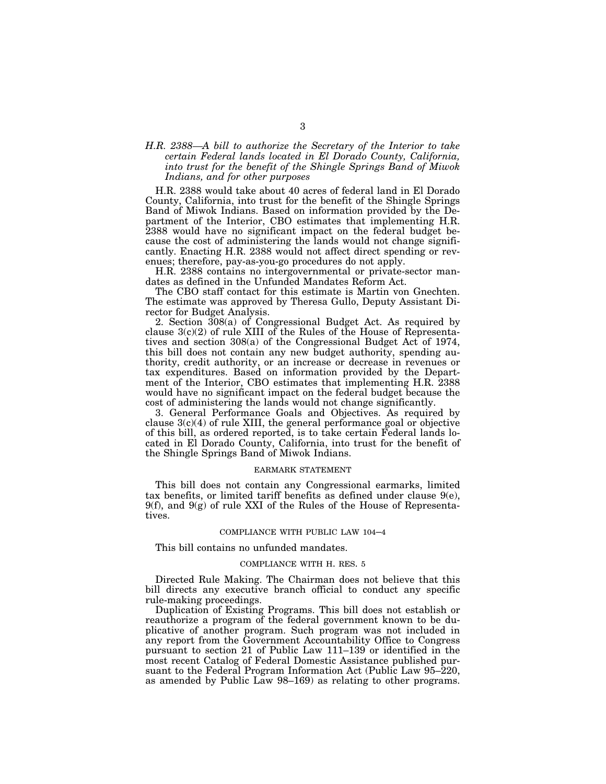# *H.R. 2388—A bill to authorize the Secretary of the Interior to take certain Federal lands located in El Dorado County, California, into trust for the benefit of the Shingle Springs Band of Miwok Indians, and for other purposes*

H.R. 2388 would take about 40 acres of federal land in El Dorado County, California, into trust for the benefit of the Shingle Springs Band of Miwok Indians. Based on information provided by the Department of the Interior, CBO estimates that implementing H.R. 2388 would have no significant impact on the federal budget because the cost of administering the lands would not change significantly. Enacting H.R. 2388 would not affect direct spending or revenues; therefore, pay-as-you-go procedures do not apply.

H.R. 2388 contains no intergovernmental or private-sector mandates as defined in the Unfunded Mandates Reform Act.

The CBO staff contact for this estimate is Martin von Gnechten. The estimate was approved by Theresa Gullo, Deputy Assistant Director for Budget Analysis.

2. Section 308(a) of Congressional Budget Act. As required by clause  $3(c)(2)$  of rule XIII of the Rules of the House of Representatives and section 308(a) of the Congressional Budget Act of 1974, this bill does not contain any new budget authority, spending authority, credit authority, or an increase or decrease in revenues or tax expenditures. Based on information provided by the Department of the Interior, CBO estimates that implementing H.R. 2388 would have no significant impact on the federal budget because the cost of administering the lands would not change significantly.

3. General Performance Goals and Objectives. As required by clause  $3(c)(4)$  of rule XIII, the general performance goal or objective of this bill, as ordered reported, is to take certain Federal lands located in El Dorado County, California, into trust for the benefit of the Shingle Springs Band of Miwok Indians.

#### EARMARK STATEMENT

This bill does not contain any Congressional earmarks, limited tax benefits, or limited tariff benefits as defined under clause 9(e),  $9(f)$ , and  $9(g)$  of rule XXI of the Rules of the House of Representatives.

#### COMPLIANCE WITH PUBLIC LAW 104–4

This bill contains no unfunded mandates.

## COMPLIANCE WITH H. RES. 5

Directed Rule Making. The Chairman does not believe that this bill directs any executive branch official to conduct any specific rule-making proceedings.

Duplication of Existing Programs. This bill does not establish or reauthorize a program of the federal government known to be duplicative of another program. Such program was not included in any report from the Government Accountability Office to Congress pursuant to section 21 of Public Law 111–139 or identified in the most recent Catalog of Federal Domestic Assistance published pursuant to the Federal Program Information Act (Public Law 95–220, as amended by Public Law 98–169) as relating to other programs.